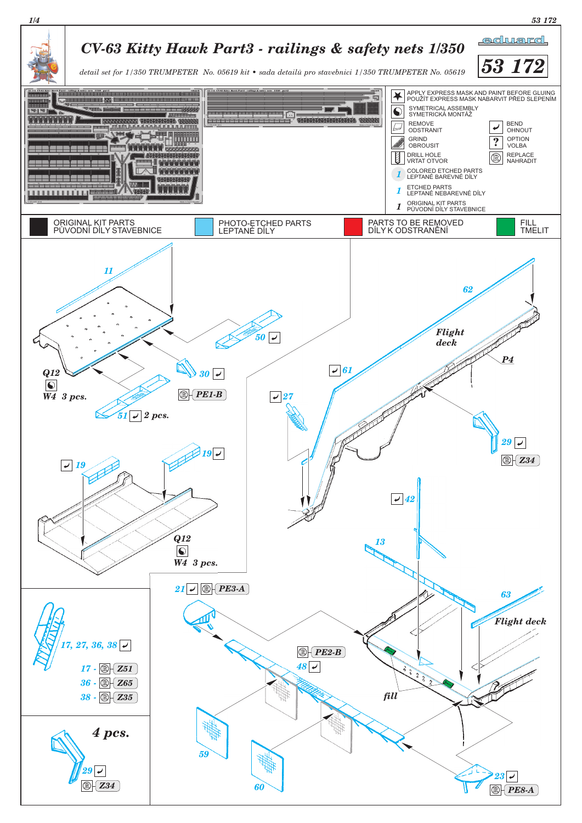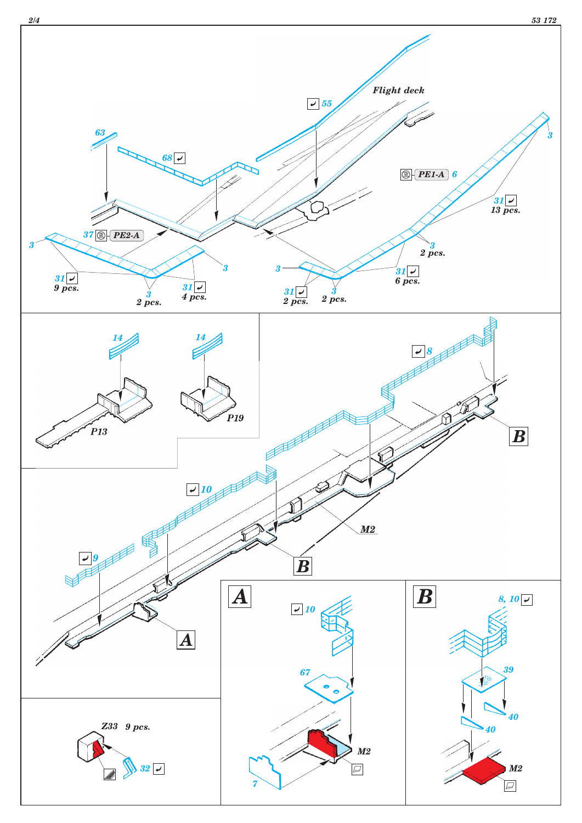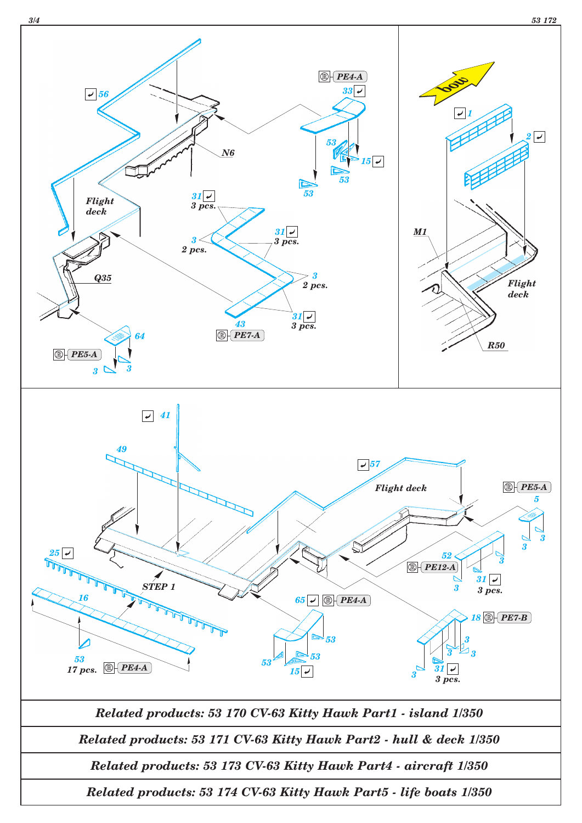